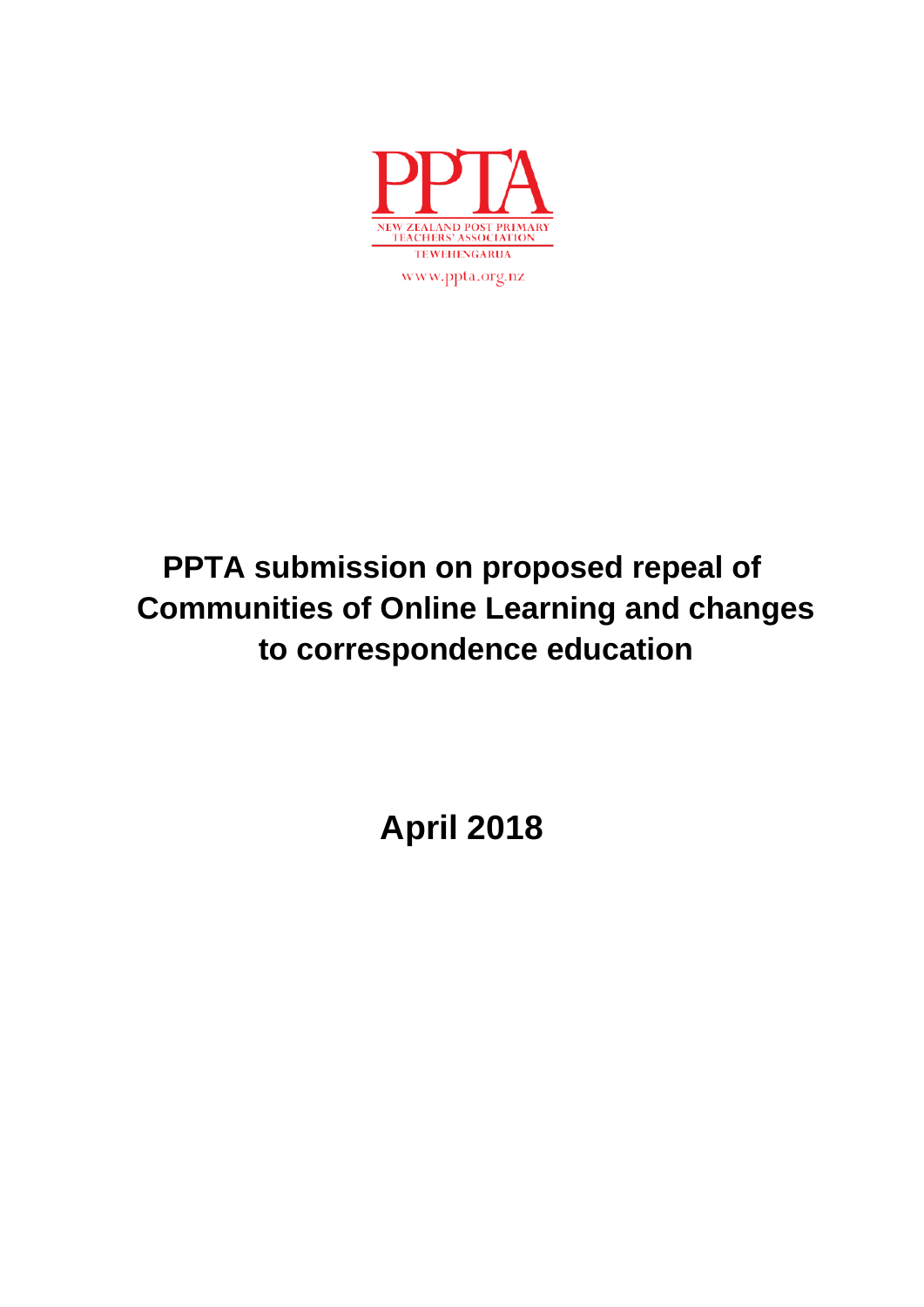

# **PPTA submission on proposed repeal of Communities of Online Learning and changes to correspondence education**

**April 2018**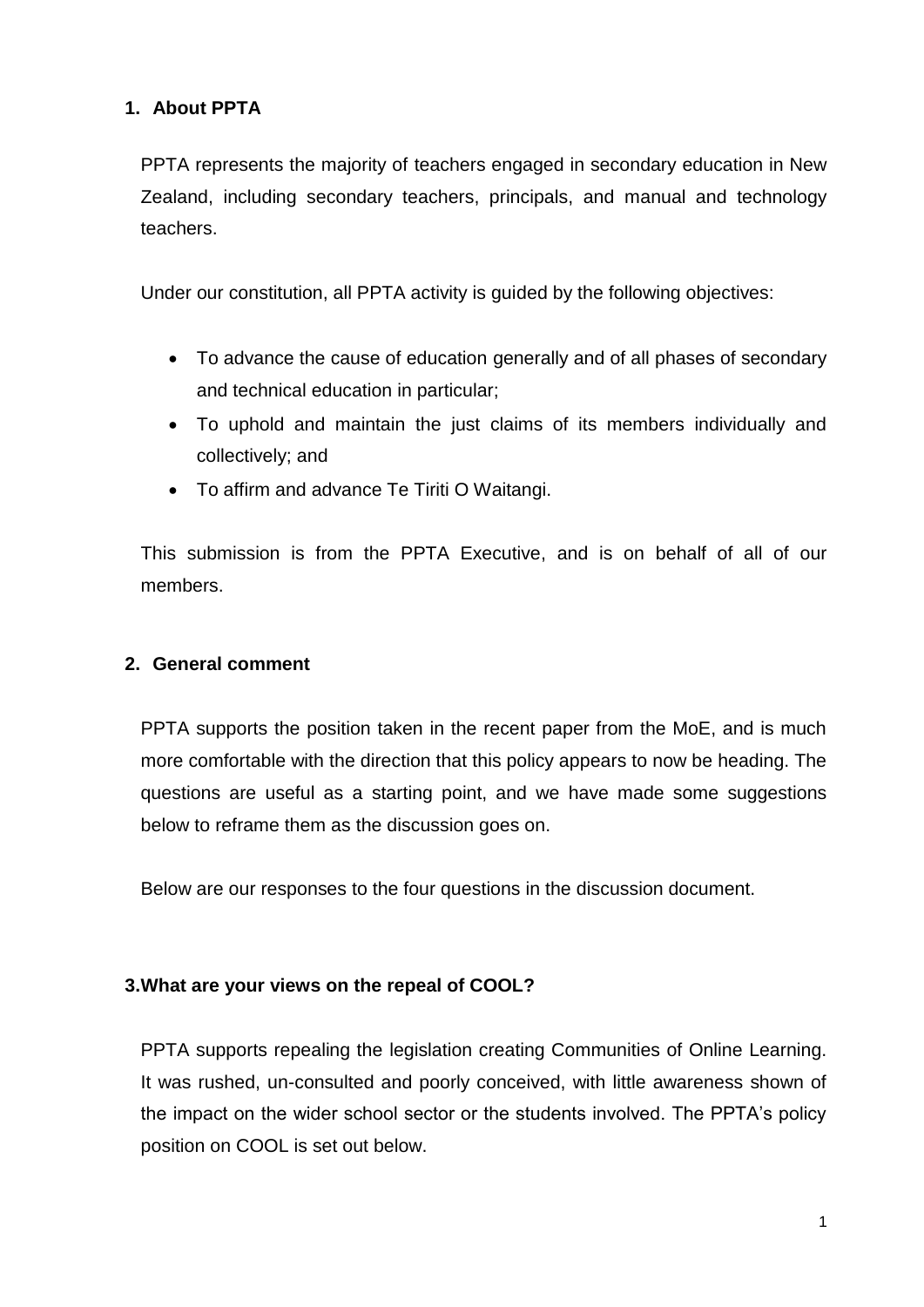## **1. About PPTA**

PPTA represents the majority of teachers engaged in secondary education in New Zealand, including secondary teachers, principals, and manual and technology teachers.

Under our constitution, all PPTA activity is guided by the following objectives:

- To advance the cause of education generally and of all phases of secondary and technical education in particular;
- To uphold and maintain the just claims of its members individually and collectively; and
- To affirm and advance Te Tiriti O Waitangi.

This submission is from the PPTA Executive, and is on behalf of all of our members.

### **2. General comment**

PPTA supports the position taken in the recent paper from the MoE, and is much more comfortable with the direction that this policy appears to now be heading. The questions are useful as a starting point, and we have made some suggestions below to reframe them as the discussion goes on.

Below are our responses to the four questions in the discussion document.

#### **3.What are your views on the repeal of COOL?**

PPTA supports repealing the legislation creating Communities of Online Learning. It was rushed, un-consulted and poorly conceived, with little awareness shown of the impact on the wider school sector or the students involved. The PPTA's policy position on COOL is set out below.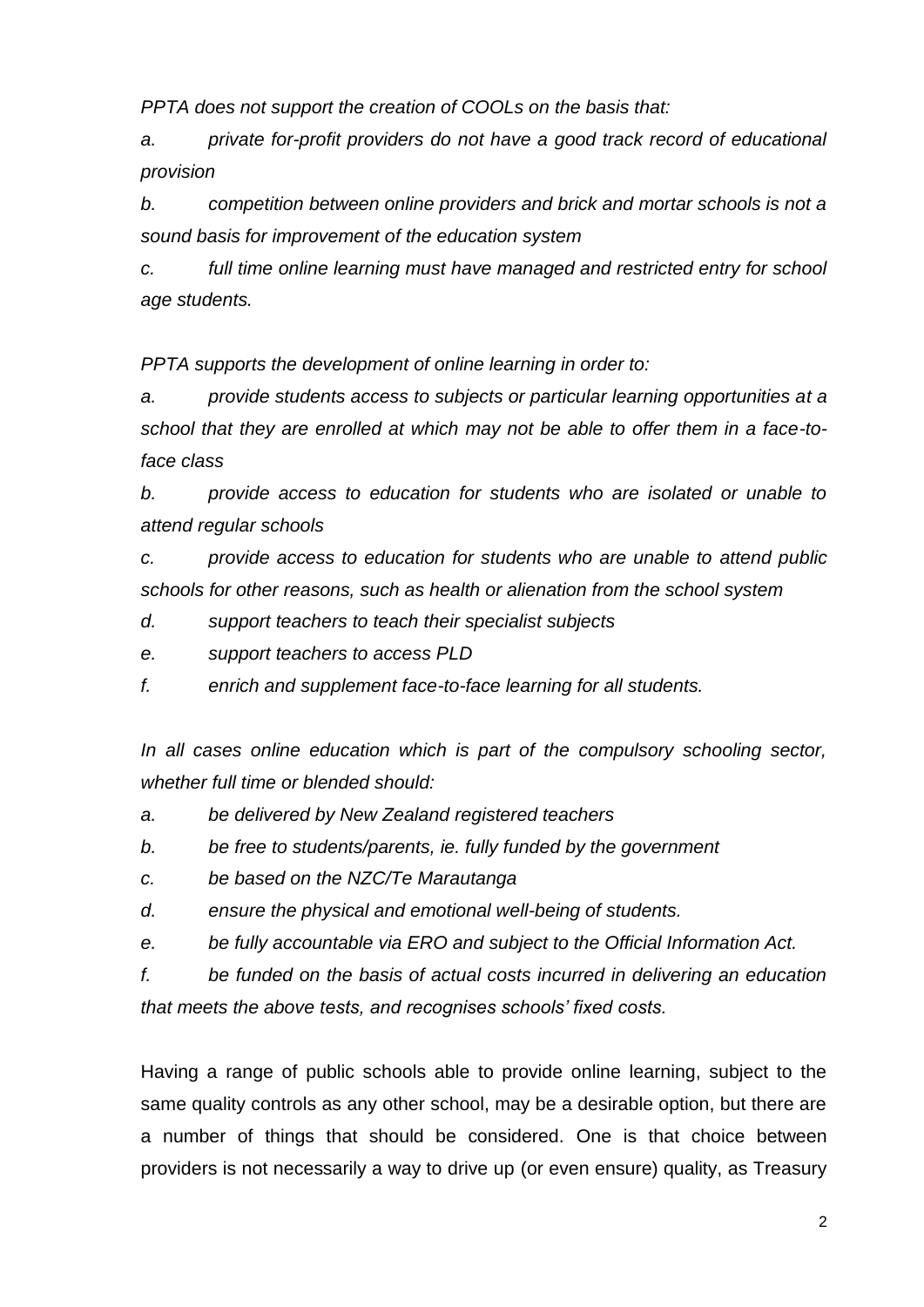*PPTA does not support the creation of COOLs on the basis that:*

*a. private for-profit providers do not have a good track record of educational provision* 

*b. competition between online providers and brick and mortar schools is not a sound basis for improvement of the education system*

*c. full time online learning must have managed and restricted entry for school age students.*

*PPTA supports the development of online learning in order to:*

*a. provide students access to subjects or particular learning opportunities at a school that they are enrolled at which may not be able to offer them in a face-toface class*

*b. provide access to education for students who are isolated or unable to attend regular schools*

*c. provide access to education for students who are unable to attend public schools for other reasons, such as health or alienation from the school system*

- *d. support teachers to teach their specialist subjects*
- *e. support teachers to access PLD*
- *f. enrich and supplement face-to-face learning for all students.*

In all cases online education which is part of the compulsory schooling sector, *whether full time or blended should:* 

- *a. be delivered by New Zealand registered teachers*
- *b. be free to students/parents, ie. fully funded by the government*
- *c. be based on the NZC/Te Marautanga*
- *d. ensure the physical and emotional well-being of students.*
- *e. be fully accountable via ERO and subject to the Official Information Act.*

*f. be funded on the basis of actual costs incurred in delivering an education that meets the above tests, and recognises schools' fixed costs.* 

Having a range of public schools able to provide online learning, subject to the same quality controls as any other school, may be a desirable option, but there are a number of things that should be considered. One is that choice between providers is not necessarily a way to drive up (or even ensure) quality, as Treasury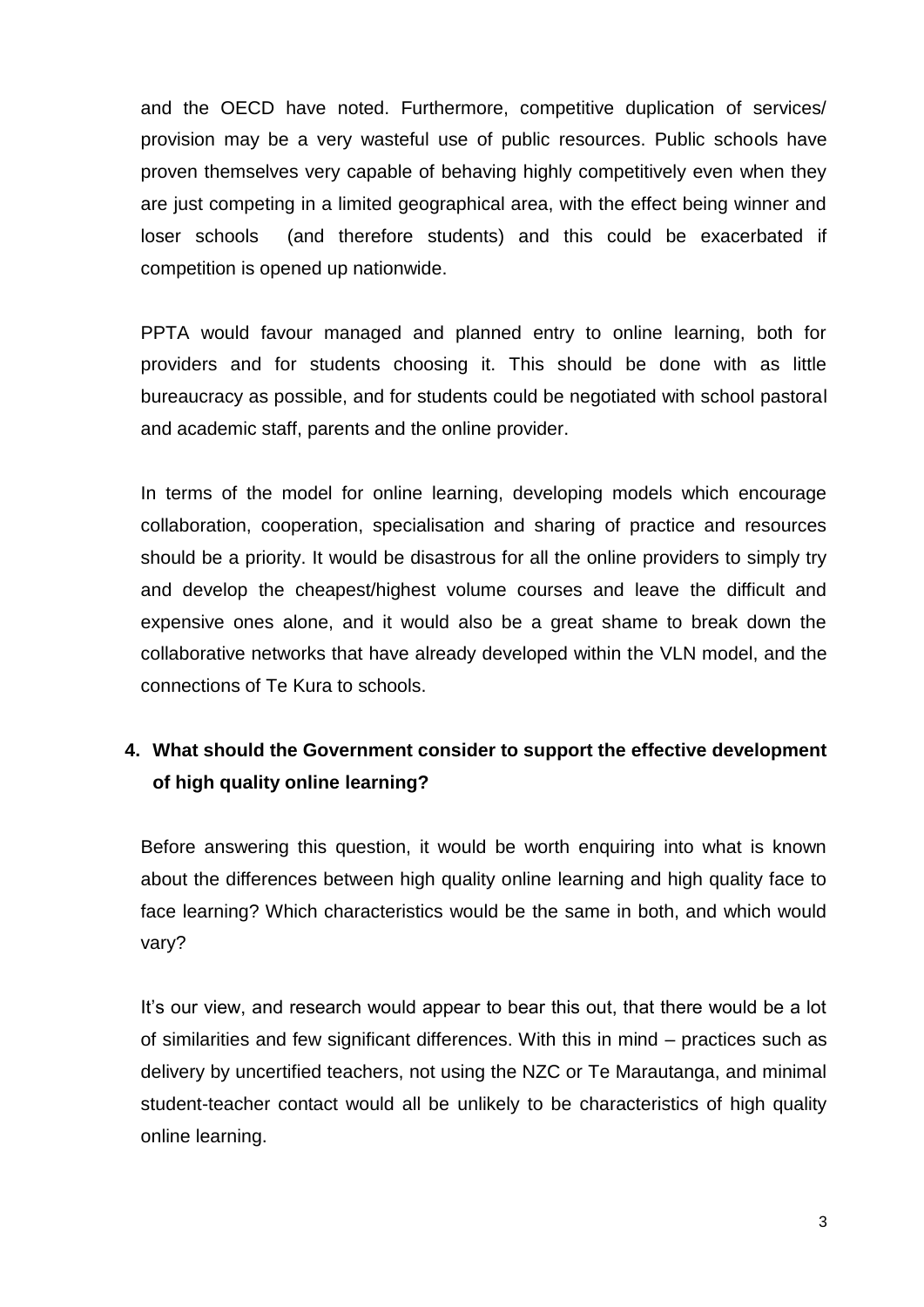and the OECD have noted. Furthermore, competitive duplication of services/ provision may be a very wasteful use of public resources. Public schools have proven themselves very capable of behaving highly competitively even when they are just competing in a limited geographical area, with the effect being winner and loser schools (and therefore students) and this could be exacerbated if competition is opened up nationwide.

PPTA would favour managed and planned entry to online learning, both for providers and for students choosing it. This should be done with as little bureaucracy as possible, and for students could be negotiated with school pastoral and academic staff, parents and the online provider.

In terms of the model for online learning, developing models which encourage collaboration, cooperation, specialisation and sharing of practice and resources should be a priority. It would be disastrous for all the online providers to simply try and develop the cheapest/highest volume courses and leave the difficult and expensive ones alone, and it would also be a great shame to break down the collaborative networks that have already developed within the VLN model, and the connections of Te Kura to schools.

## **4. What should the Government consider to support the effective development of high quality online learning?**

Before answering this question, it would be worth enquiring into what is known about the differences between high quality online learning and high quality face to face learning? Which characteristics would be the same in both, and which would vary?

It's our view, and research would appear to bear this out, that there would be a lot of similarities and few significant differences. With this in mind – practices such as delivery by uncertified teachers, not using the NZC or Te Marautanga, and minimal student-teacher contact would all be unlikely to be characteristics of high quality online learning.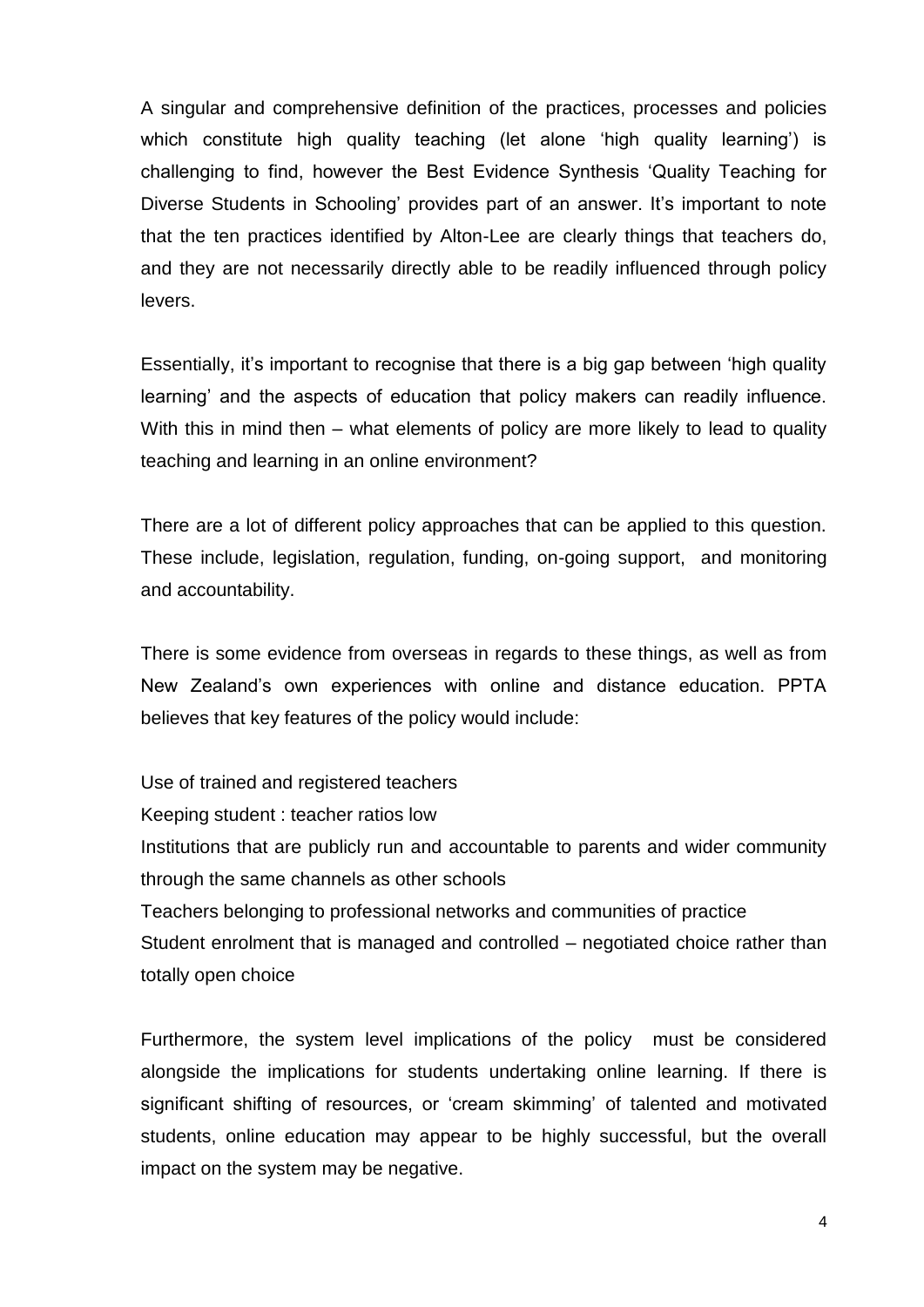A singular and comprehensive definition of the practices, processes and policies which constitute high quality teaching (let alone 'high quality learning') is challenging to find, however the Best Evidence Synthesis 'Quality Teaching for Diverse Students in Schooling' provides part of an answer. It's important to note that the ten practices identified by Alton-Lee are clearly things that teachers do, and they are not necessarily directly able to be readily influenced through policy levers.

Essentially, it's important to recognise that there is a big gap between 'high quality learning' and the aspects of education that policy makers can readily influence. With this in mind then – what elements of policy are more likely to lead to quality teaching and learning in an online environment?

There are a lot of different policy approaches that can be applied to this question. These include, legislation, regulation, funding, on-going support, and monitoring and accountability.

There is some evidence from overseas in regards to these things, as well as from New Zealand's own experiences with online and distance education. PPTA believes that key features of the policy would include:

Use of trained and registered teachers Keeping student : teacher ratios low Institutions that are publicly run and accountable to parents and wider community through the same channels as other schools Teachers belonging to professional networks and communities of practice Student enrolment that is managed and controlled – negotiated choice rather than totally open choice

Furthermore, the system level implications of the policy must be considered alongside the implications for students undertaking online learning. If there is significant shifting of resources, or 'cream skimming' of talented and motivated students, online education may appear to be highly successful, but the overall impact on the system may be negative.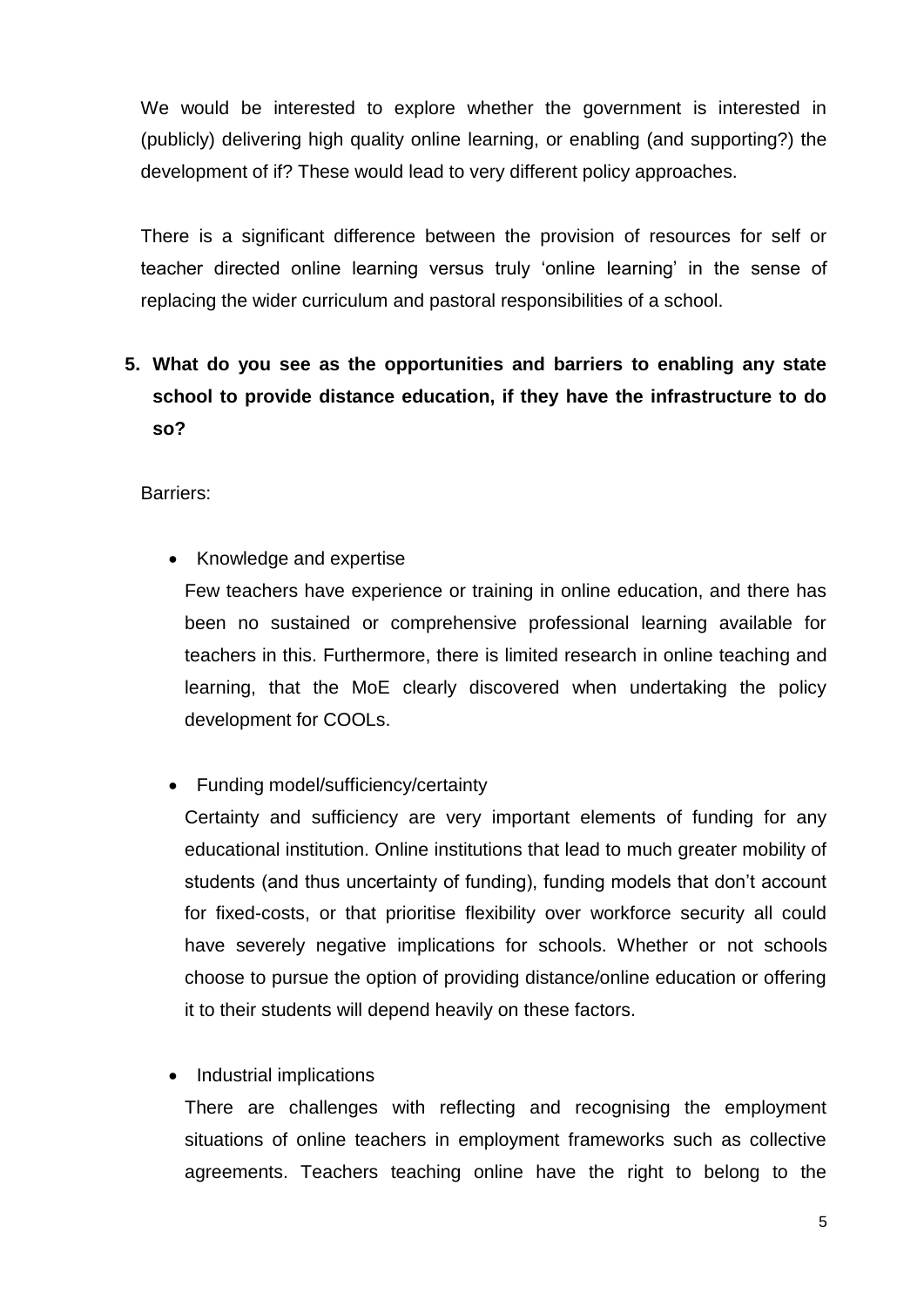We would be interested to explore whether the government is interested in (publicly) delivering high quality online learning, or enabling (and supporting?) the development of if? These would lead to very different policy approaches.

There is a significant difference between the provision of resources for self or teacher directed online learning versus truly 'online learning' in the sense of replacing the wider curriculum and pastoral responsibilities of a school.

# **5. What do you see as the opportunities and barriers to enabling any state school to provide distance education, if they have the infrastructure to do so?**

Barriers:

• Knowledge and expertise

Few teachers have experience or training in online education, and there has been no sustained or comprehensive professional learning available for teachers in this. Furthermore, there is limited research in online teaching and learning, that the MoE clearly discovered when undertaking the policy development for COOLs.

• Funding model/sufficiency/certainty

Certainty and sufficiency are very important elements of funding for any educational institution. Online institutions that lead to much greater mobility of students (and thus uncertainty of funding), funding models that don't account for fixed-costs, or that prioritise flexibility over workforce security all could have severely negative implications for schools. Whether or not schools choose to pursue the option of providing distance/online education or offering it to their students will depend heavily on these factors.

• Industrial implications

There are challenges with reflecting and recognising the employment situations of online teachers in employment frameworks such as collective agreements. Teachers teaching online have the right to belong to the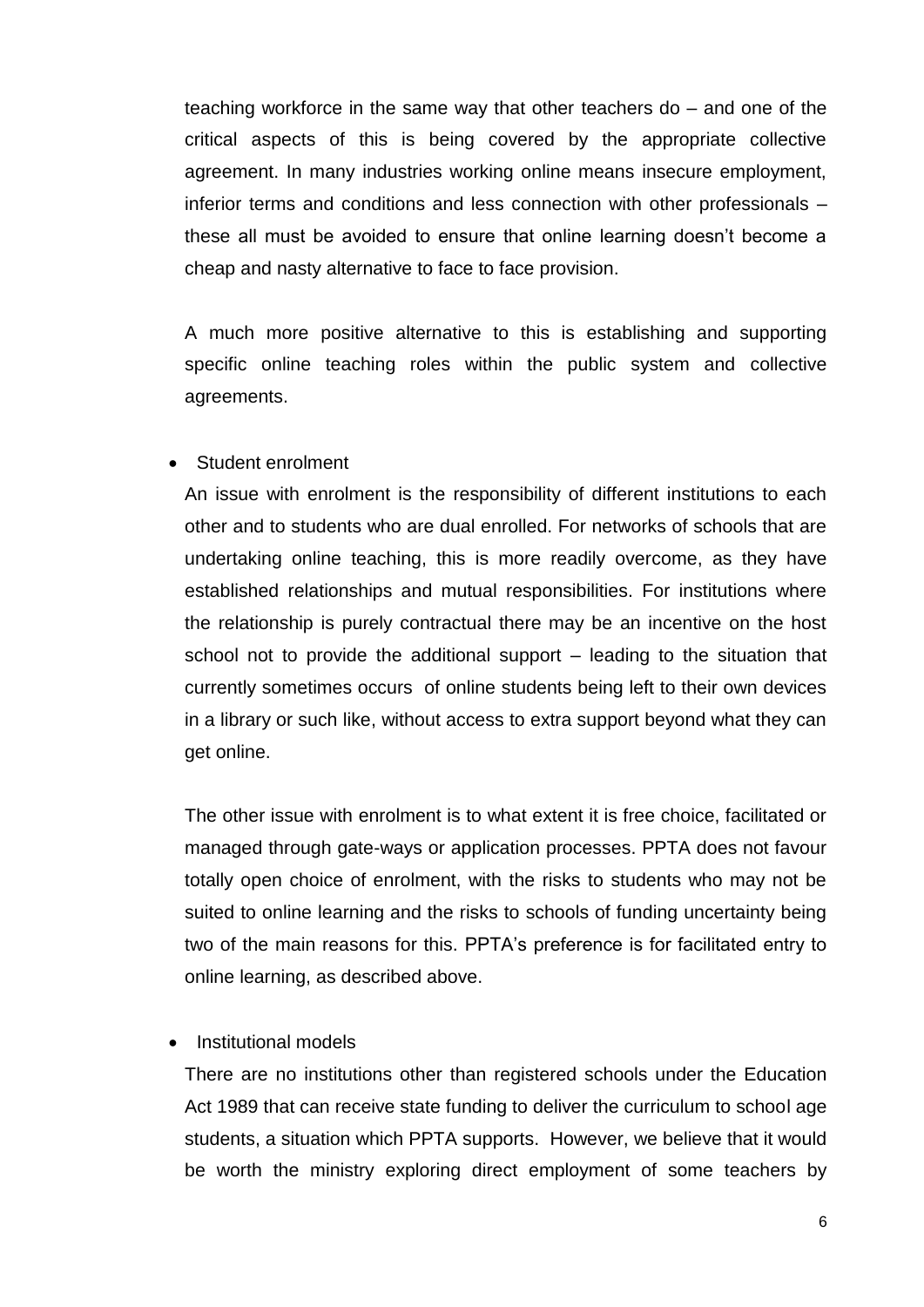teaching workforce in the same way that other teachers do – and one of the critical aspects of this is being covered by the appropriate collective agreement. In many industries working online means insecure employment, inferior terms and conditions and less connection with other professionals – these all must be avoided to ensure that online learning doesn't become a cheap and nasty alternative to face to face provision.

A much more positive alternative to this is establishing and supporting specific online teaching roles within the public system and collective agreements.

#### Student enrolment

An issue with enrolment is the responsibility of different institutions to each other and to students who are dual enrolled. For networks of schools that are undertaking online teaching, this is more readily overcome, as they have established relationships and mutual responsibilities. For institutions where the relationship is purely contractual there may be an incentive on the host school not to provide the additional support – leading to the situation that currently sometimes occurs of online students being left to their own devices in a library or such like, without access to extra support beyond what they can get online.

The other issue with enrolment is to what extent it is free choice, facilitated or managed through gate-ways or application processes. PPTA does not favour totally open choice of enrolment, with the risks to students who may not be suited to online learning and the risks to schools of funding uncertainty being two of the main reasons for this. PPTA's preference is for facilitated entry to online learning, as described above.

#### Institutional models

There are no institutions other than registered schools under the Education Act 1989 that can receive state funding to deliver the curriculum to school age students, a situation which PPTA supports. However, we believe that it would be worth the ministry exploring direct employment of some teachers by